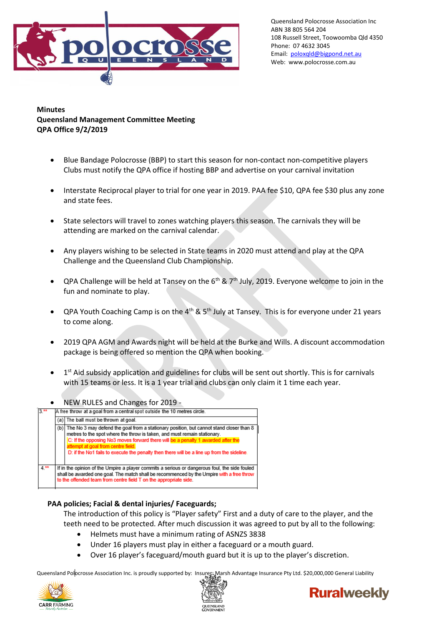

Queensland Polocrosse Association Inc ABN 38 805 564 204 108 Russell Street, Toowoomba Qld 4350 Phone: 07 4632 3045 Email: [poloxqld@bigpond.net.au](mailto:poloxqld@bigpond.net.au) Web: www.polocrosse.com.au

**Minutes Queensland Management Committee Meeting QPA Office 9/2/2019**

- Blue Bandage Polocrosse (BBP) to start this season for non-contact non-competitive players Clubs must notify the QPA office if hosting BBP and advertise on your carnival invitation
- Interstate Reciprocal player to trial for one year in 2019. PAA fee \$10, QPA fee \$30 plus any zone and state fees.
- State selectors will travel to zones watching players this season. The carnivals they will be attending are marked on the carnival calendar.
- Any players wishing to be selected in State teams in 2020 must attend and play at the QPA Challenge and the Queensland Club Championship.
- QPA Challenge will be held at Tansey on the  $6<sup>th</sup>$  & 7<sup>th</sup> July, 2019. Everyone welcome to join in the fun and nominate to play.
- QPA Youth Coaching Camp is on the  $4<sup>th</sup>$  & 5<sup>th</sup> July at Tansey. This is for everyone under 21 years to come along.
- 2019 QPA AGM and Awards night will be held at the Burke and Wills. A discount accommodation package is being offered so mention the QPA when booking.
- $\bullet$  1<sup>st</sup> Aid subsidy application and guidelines for clubs will be sent out shortly. This is for carnivals with 15 teams or less. It is a 1 year trial and clubs can only claim it 1 time each year.
- NEW RULES and Changes for 2019 -<br>A free throw at a goal from a central spot outside the 10 metres circle. (a) The ball must be thrown at goal. The No 3 may defend the goal from a stationary position, but cannot stand closer than 8  $(b)$ metres to the spot where the throw is taken, and must remain stationary. C: If the opposing No3 moves forward there will be a p D: if the No1 fails to execute the penalty then there will be a line up from the sideline.  $4.$ \* If in the opinion of the Umpire a player commits a serious or dangerous foul, the side fouled shall be awarded one goal. The match shall be recommenced by the Umpire with a free thro to the offended team from centre field T on the appropriate si

## **PAA policies; Facial & dental injuries/ Faceguards;**

The introduction of this policy is "Player safety" First and a duty of care to the player, and the teeth need to be protected. After much discussion it was agreed to put by all to the following:

- Helmets must have a minimum rating of ASNZS 3838
- Under 16 players must play in either a faceguard or a mouth guard.
- Over 16 player's faceguard/mouth guard but it is up to the player's discretion.

Queensland Polocrosse Association Inc. is proudly supported by: Insurer: Marsh Advantage Insurance Pty Ltd. \$20,000,000 General Liability